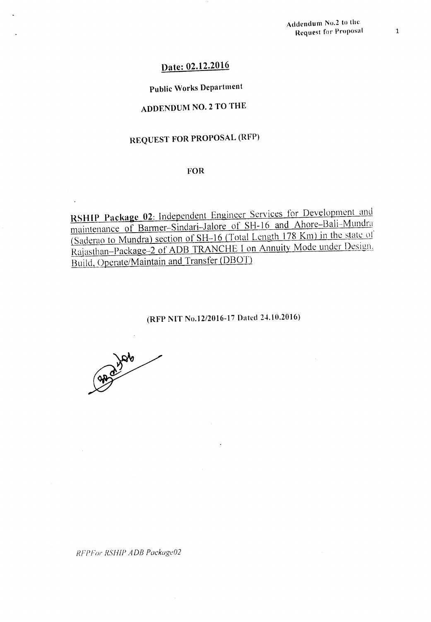# Date: 02.12.2016

### Public Works Department

# ADDENDUM NO.2 TO THE

# REQUEST FOR PROPOSAL (RFP)

#### FOR

RSHIP Package 02: Independent Engineer Services for Development and maintenance of Barmer-Sindari-Jalore of SH-16 and Ahore-Bali-Mundra (Saderao to Mundra) section of SH-16 (Total Length 178 Km) in the state 0[' Rajasthan-Package-2 of ADB TRANCHE I on Annuity Mode under Design. Build, Operate/Maintain and Transfer (DB01)

### (RFP NIT No.12/2016-17 Dated 24.10.2016)

good water

*RFPFol' RSHIP ADB Packageti?*